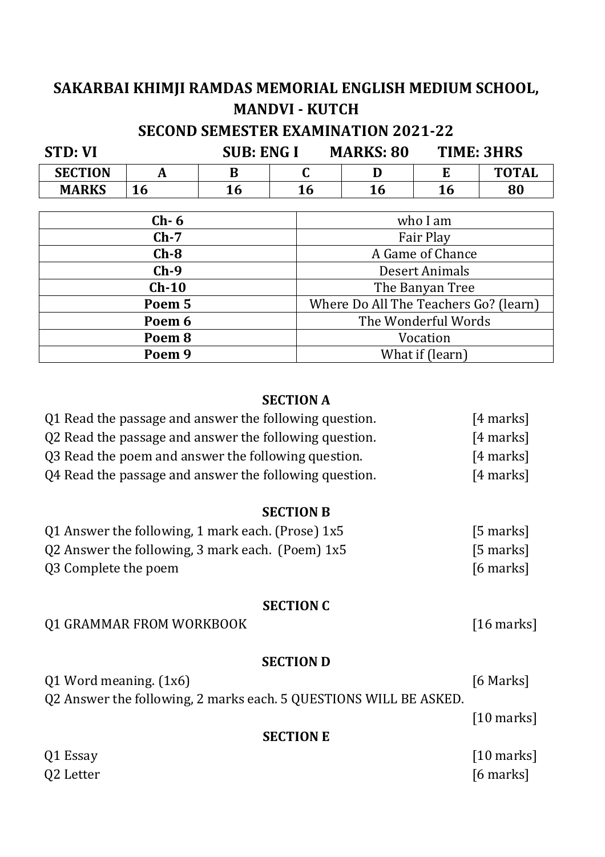## **SAKARBAI KHIMJI RAMDAS MEMORIAL ENGLISH MEDIUM SCHOOL, MANDVI - KUTCH SECOND SEMESTER EXAMINATION 2021-22**

| <b>STD: VI</b>    |           |    | SUB: ENG I       | <b>MARKS: 80</b>                      |                | <b>TIME: 3HRS</b> |
|-------------------|-----------|----|------------------|---------------------------------------|----------------|-------------------|
| <b>SECTION</b>    | A         | B  | C                | I)                                    | E              | <b>TOTAL</b>      |
| <b>MARKS</b>      | <b>16</b> | 16 | <b>16</b>        | <b>16</b>                             | <b>16</b>      | 80                |
|                   |           |    |                  |                                       |                |                   |
|                   | $Ch-6$    |    |                  |                                       | who I am       |                   |
| $Ch-7$            |           |    | Fair Play        |                                       |                |                   |
| $Ch-8$            |           |    | A Game of Chance |                                       |                |                   |
| $Ch-9$            |           |    |                  |                                       | Desert Animals |                   |
| $Ch-10$           |           |    |                  | The Banyan Tree                       |                |                   |
| Poem 5            |           |    |                  | Where Do All The Teachers Go? (learn) |                |                   |
| Poem 6            |           |    |                  | The Wonderful Words                   |                |                   |
| Poem <sub>8</sub> |           |    |                  | Vocation                              |                |                   |
| Poem <sub>9</sub> |           |    |                  | What if (learn)                       |                |                   |

#### **SECTION A**

| Q1 Read the passage and answer the following question. | $[4$ marks] |
|--------------------------------------------------------|-------------|
| Q2 Read the passage and answer the following question. | $[4$ marks] |
| Q3 Read the poem and answer the following question.    | $[4$ marks] |
| Q4 Read the passage and answer the following question. | $[4$ marks] |

#### **SECTION B**

| Q1 Answer the following, 1 mark each. (Prose) $1x5$ | $[5$ marks] |
|-----------------------------------------------------|-------------|
| Q2 Answer the following, 3 mark each. (Poem) $1x5$  | $[5$ marks] |
| Q3 Complete the poem                                | [6 marks]   |

#### **SECTION C**

Q1 GRAMMAR FROM WORKBOOK [16 marks]

#### **SECTION D**

| $Q1$ Word meaning. $(1x6)$                                        | [6 Marks]    |
|-------------------------------------------------------------------|--------------|
| Q2 Answer the following, 2 marks each. 5 QUESTIONS WILL BE ASKED. |              |
|                                                                   | $[10$ marks] |

#### **SECTION E**

Q1 Essay [10 marks] Q2 Letter [6 marks]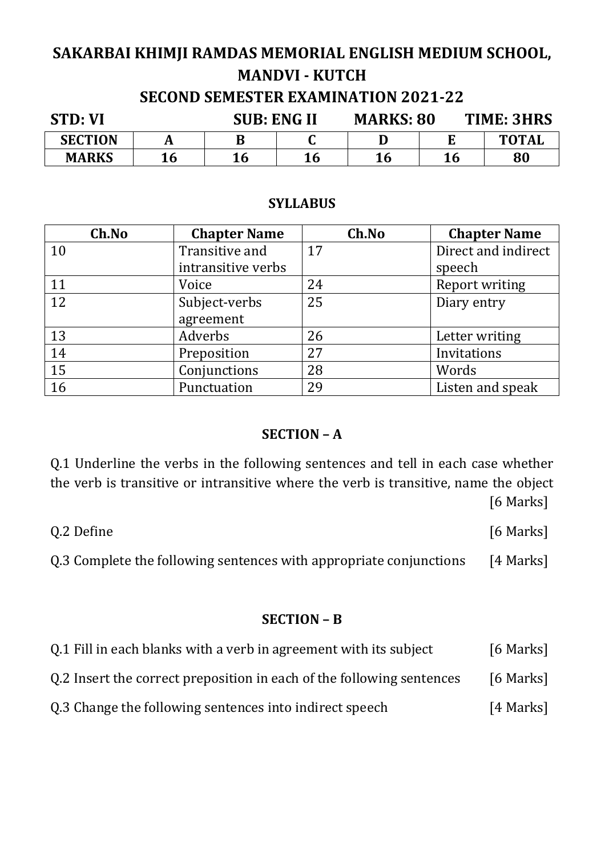## **SAKARBAI KHIMJI RAMDAS MEMORIAL ENGLISH MEDIUM SCHOOL, MANDVI - KUTCH SECOND SEMESTER EXAMINATION 2021-22**

| <b>STD: VI</b> |    | <b>SUB: ENG II</b> |           | <b>MARKS: 80</b> |    | TIME: 3HRS   |  |
|----------------|----|--------------------|-----------|------------------|----|--------------|--|
| <b>SECTION</b> |    | В                  |           |                  |    | <b>TOTAL</b> |  |
| <b>MARKS</b>   | 16 | 16                 | <b>16</b> | 16               | 16 | 80           |  |

#### **SYLLABUS**

| Ch.No | <b>Chapter Name</b> | Ch.No | <b>Chapter Name</b> |
|-------|---------------------|-------|---------------------|
| 10    | Transitive and      | 17    | Direct and indirect |
|       | intransitive verbs  |       | speech              |
| 11    | Voice               | 24    | Report writing      |
| 12    | Subject-verbs       | 25    | Diary entry         |
|       | agreement           |       |                     |
| 13    | Adverbs             | 26    | Letter writing      |
| 14    | Preposition         | 27    | Invitations         |
| 15    | Conjunctions        | 28    | Words               |
| 16    | Punctuation         | 29    | Listen and speak    |

#### **SECTION – A**

Q.1 Underline the verbs in the following sentences and tell in each case whether the verb is transitive or intransitive where the verb is transitive, name the object [6 Marks]

Q.2 Define [6 Marks]

Q.3 Complete the following sentences with appropriate conjunctions [4 Marks]

#### **SECTION – B**

| Q.1 Fill in each blanks with a verb in agreement with its subject | [6 Marks] |
|-------------------------------------------------------------------|-----------|
|-------------------------------------------------------------------|-----------|

Q.2 Insert the correct preposition in each of the following sentences [6 Marks]

Q.3 Change the following sentences into indirect speech [4 Marks]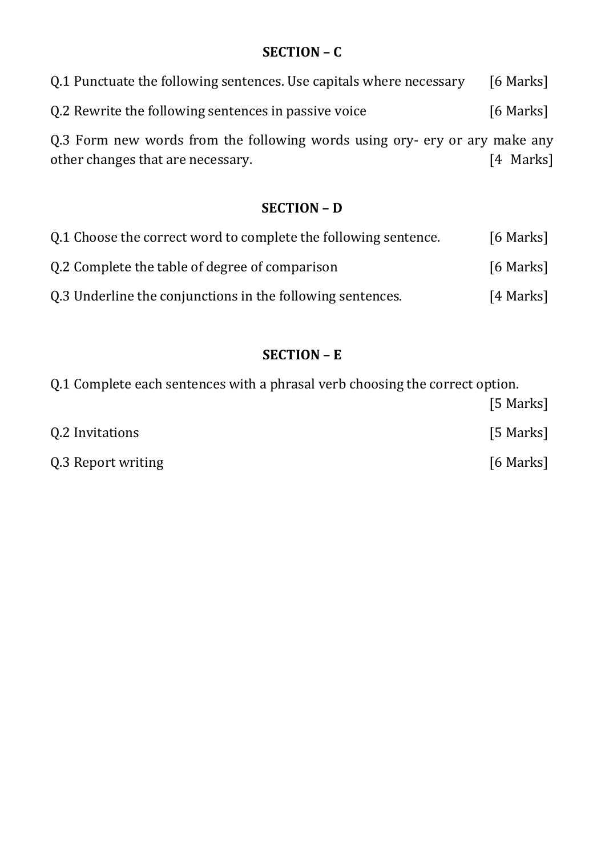## **SECTION – C**

| Q.1 Punctuate the following sentences. Use capitals where necessary                                             | [6 Marks] |
|-----------------------------------------------------------------------------------------------------------------|-----------|
| Q.2 Rewrite the following sentences in passive voice                                                            | [6 Marks] |
| Q.3 Form new words from the following words using ory- ery or ary make any<br>other changes that are necessary. | [4 Marks] |

### **SECTION – D**

| 0.1 Choose the correct word to complete the following sentence. | [6 Marks] |
|-----------------------------------------------------------------|-----------|
| 0.2 Complete the table of degree of comparison                  | [6 Marks] |
| Q.3 Underline the conjunctions in the following sentences.      | [4 Marks] |

## **SECTION – E**

| Q.1 Complete each sentences with a phrasal verb choosing the correct option. |           |
|------------------------------------------------------------------------------|-----------|
|                                                                              | [5 Marks] |
| Q.2 Invitations                                                              | [5 Marks] |
| Q.3 Report writing                                                           | [6 Marks] |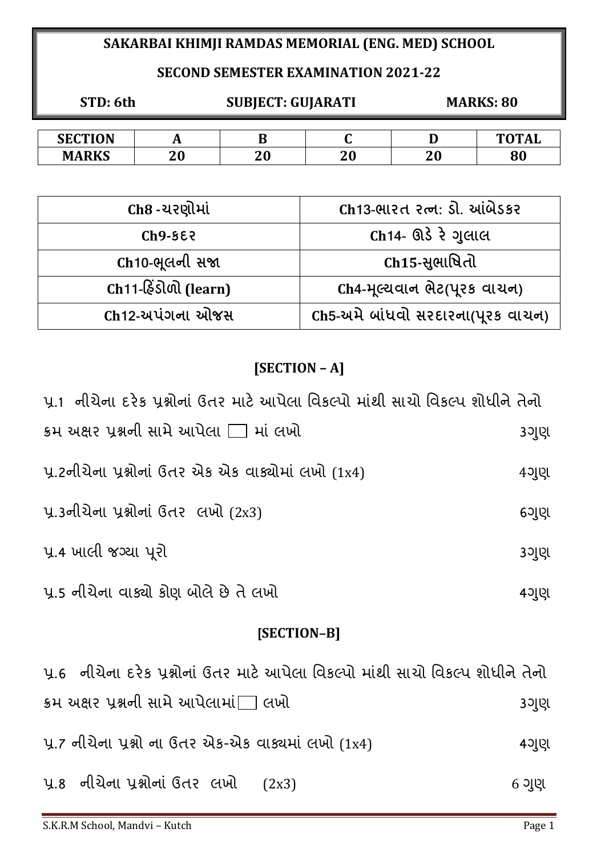## **SAKARBAI KHIMJI RAMDAS MEMORIAL (ENG. MED) SCHOOL**

### **SECOND SEMESTER EXAMINATION 2021-22**

| STD: 6th       |  | <b>SUBJECT: GUJARATI</b> |  | <b>MARKS: 80</b> |              |
|----------------|--|--------------------------|--|------------------|--------------|
|                |  |                          |  |                  |              |
| <b>SECTION</b> |  |                          |  |                  | <b>TOTAL</b> |

**MARKS 20 20 20 20 80**

| Ch8 -ચરણોમાં                 | Ch13-ભારત રત્ન: ડી. આંબેડકર       |
|------------------------------|-----------------------------------|
| $Ch9-552$                    | Ch14- ઊડે રે ગુલાલ                |
| Ch10-ભૂલની સજા               | Ch15-સુભાષિતો                     |
| $Ch11-\hat{\&}$ sીળી (learn) | Ch4-મૂલ્યવાન ભેટ(પુરક વાચન)       |
| Ch12-અપંગના ઓજસ              | Ch5-અમે બાંધવો સરદારના(પૂરક વાચન) |

# **[SECTION – A]**

| પ્ર.1  નીચેના દરેક પ્રશ્નોનાં ઉતર માટે આપેલા વિકલ્પો માંથી સાચો વિકલ્પ શોધીને તેનો |         |
|------------------------------------------------------------------------------------|---------|
| $\,$ ક્રમ અક્ષર પ્રશ્નની સામે આપેલા $\Box$ માં લખો                                 | 3ગુણ    |
| <u>પ્ર.2નીચેના પ્રશ્નોનાં ઉતર એક એક વાક્યોમાં લખો (1x4)</u>                        | $4$ ગુણ |
| <u>પ્ર.3નીચેના પ્રશ્નોનાં ઉતર લખો (2x3)</u>                                        | 6ગુણ    |
| પ્ર.4 ખાલી જગ્યા પુરો                                                              | 3ગુણ    |
| પ્ર.5 નીચેના વાક્યો કોણ બોલે છે તે લખો                                             | 4ગુણ    |

## **[SECTION–B]**

| પ્ર.6  નીચેના દરેક પ્રશ્નોનાં ઉતર માટે આપેલા વિકલ્પો માંથી સાચો વિકલ્પ શોધીને તેનો |         |
|------------------------------------------------------------------------------------|---------|
| ક્રમ અક્ષર પ્રશ્નની સામે આપેલામાં∏ લખો                                             | 3ગુણ    |
| પૂ.7 નીચેના પ્રશ્નો ના ઉતર એક-એક વાક્યમાં લખો (1x4)                                | 4ગુણ    |
| <u>પ્ર.8 નીચેના પ્રશ્નોનાં ઉતર લખો (2x3)</u>                                       | $6$ ગુણ |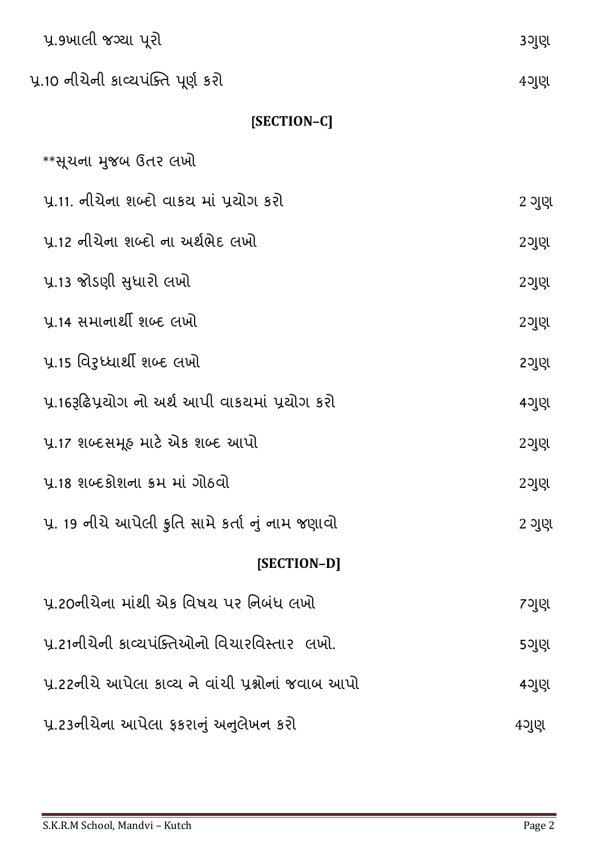| પ્ર 9ખાલી જગ્યા પૂરો                                | 3ગુણ    |
|-----------------------------------------------------|---------|
| પ્ર.10 નીચેની કાવ્યપંક્તિ પૂર્ણ કરો                 | $4$ ગુણ |
| [SECTION-C]                                         |         |
| **સૂચના મુજબ ઉતર લખો                                |         |
| પ્ર.11. નીચેના શબ્દો વાકચ માં પ્રયોગ કરો            | 2 ગુણ   |
| પ.12 નીચેના શબ્દો ના અર્થભેદ લખો                    | 2ગુણ    |
| પ્ર.13 જોડણી સુધારો લખો                             | 2ગુણ    |
| પ્ર.14 સમાનાર્થી શબ્દ લખો                           | $2$ ગુણ |
| પ્ર.15 વિરૂધ્ધાર્થી શબ્દ લખો                        | 2ગુણ    |
| પ્ર.16રૂઢિપ્રયોગ નો અર્થ આપી વાકયમાં પ્રયોગ કરો     | 4ગુણ    |
| પ્ર.17 શબ્દસમૂહ માટે એક શબ્દ આપો                    | 2ગુણ    |
| પ્ર.18 શબ્દકોશના ક્રમ માં ગોઠવો                     | 2ગુણ    |
| પ્ર. 19 નીચે આપેલી કુતિ સામે કર્તા નું નામ જણાવો    | 2 ગુણ   |
| [SECTION-D]                                         |         |
| પ્ર.20નીચેના માંથી એક વિષય પર નિબંધ લખો             | 7ગુણ    |
| પ્ર.21નીચેની કાવ્યપંક્તિઓનો વિચારવિસ્તાર  લખો.      | 5ગુણ    |
| પ્ર.22નીચે આપેલા કાવ્ય ને વાંચી પ્રશ્નોનાં જવાબ આપો | $4$ ગુણ |
| પ્ર.23નીચેના આપેલા ફકરાનું અનુલેખન કરો              | $4$ ગુણ |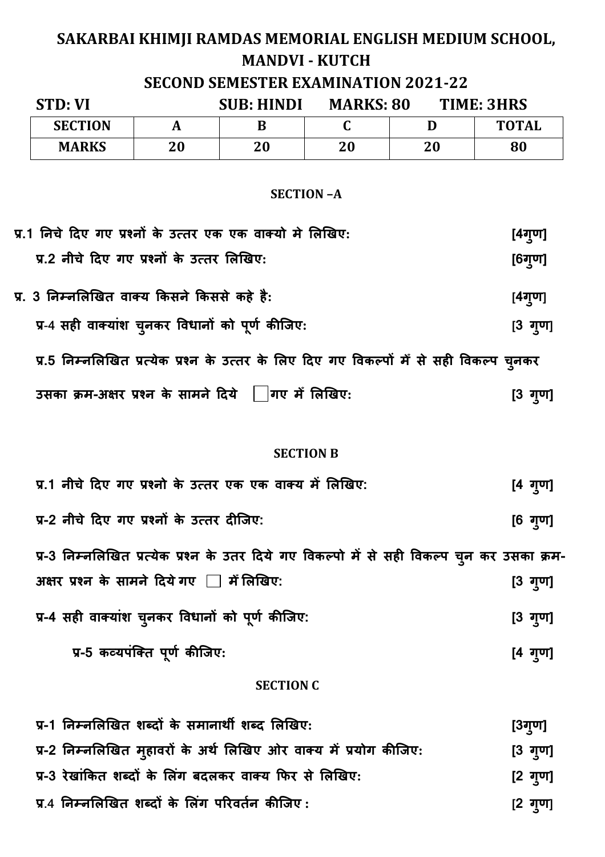# **SAKARBAI KHIMJI RAMDAS MEMORIAL ENGLISH MEDIUM SCHOOL, MANDVI - KUTCH**

### **SECOND SEMESTER EXAMINATION 2021-22**

| STD: VI        | <b>SUB: HINDI</b> |    | <b>MARKS: 80</b> |    | TIME: 3HRS   |  |
|----------------|-------------------|----|------------------|----|--------------|--|
| <b>SECTION</b> |                   | В  |                  |    | <b>TOTAL</b> |  |
| <b>MARKS</b>   | 20                | 20 | 20               | 20 | 80           |  |

#### **SECTION –A**

| प्र.1 निचे दिए गए प्रश्नों के उत्तर एक एक वाक्यो मे लिखिए:                               | [4गृण]          |
|------------------------------------------------------------------------------------------|-----------------|
| प्र.2 नीचे दिए गए प्रश्नों के उत्तर लिखिए:                                               | $[6$ गुण]       |
| प्र. 3 निम्नलिखित वाक्य किसने किससे कहे है:                                              | [4गुण]          |
| प्र-4 सही वाक्यांश चुनकर विधानों को पूर्ण कीजिए:                                         | $[3 \t{q}$ गुण] |
| प्र.5 निम्नलिखित प्रत्येक प्रश्न के उत्तर के लिए दिए गए विकल्पों में से सही विकल्प च्नकर |                 |
| उसका क्रम-अक्षर प्रश्न के सामने दिये    गए में लिखिए:                                    | [3 गुण]         |

#### **SECTION B**

| प्र.1 नीचे दिए गए प्रश्नो के उत्तर एक एक वाक्य में लिखिए:                                   | $[4 \t{q}$ गुण]   |
|---------------------------------------------------------------------------------------------|-------------------|
| प्र-2 नीचे दिए गए प्रश्नों के उत्तर दीजिए:                                                  | $[6 \t{q}$ गुण]   |
| प्र-3 निम्नलिखित प्रत्येक प्रश्न के उतर दिये गए विकल्पो में से सही विकल्प च्न कर उसका क्रम- |                   |
| अक्षर प्रश्न के सामने दिये गए _ में लिखिए:                                                  | $[3 \t{q}$ गुण]   |
| प्र-4 सही वाक्यांश चुनकर विधानों को पूर्ण कीजिए:                                            | $[3 \t{q}$ ण]     |
| प्र-5 कव्यपंक्ति पूर्ण कीजिए:                                                               | $[4 \frac{1}{2}]$ |

#### **SECTION C**

| प्र-1 निम्नलिखित शब्दों के समानार्थी शब्द लिखिए:                   | [3गृण]          |
|--------------------------------------------------------------------|-----------------|
| प्र-2 निम्नलिखित मुहावरों के अर्थ लिखिए ओर वाक्य में प्रयोग कीजिए: | $[3 \t{q}$ गुण] |
| प्र-3 रेखांकित शब्दों के लिंग बदलकर वाक्य फिर से लिखिए:            | [2 गृण]         |
| प्र.4 निम्नलिखित शब्दों के लिंग परिवर्तन कीजिए:                    | $[2 \tanh 2$    |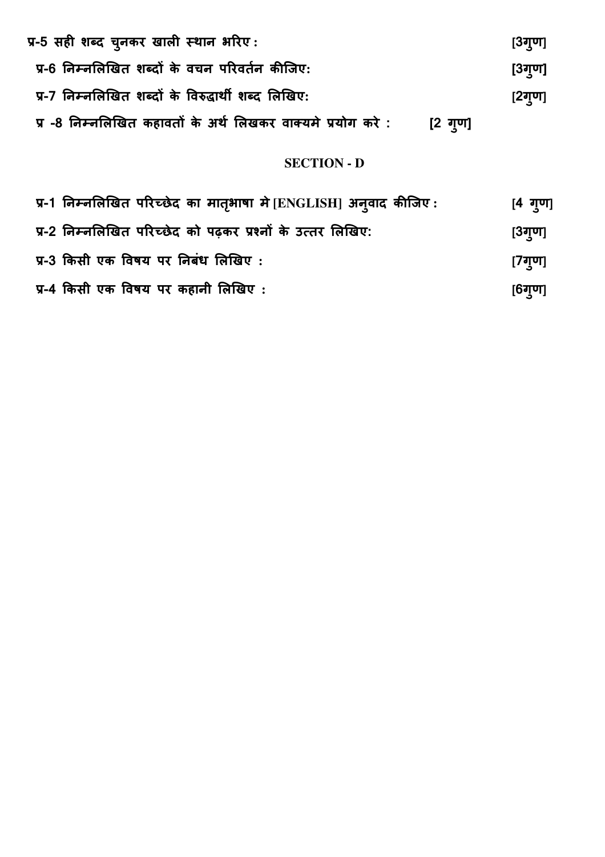| प्र-5 सही शब्द चुनकर खाली स्थान भरिए:                        |         | [3ग्ण] |
|--------------------------------------------------------------|---------|--------|
| प्र-6 निम्नलिखित शब्दों के वचन परिवर्तन कीजिए:               |         | [3ग्ण] |
| प्र-7 निम्नलिखित शब्दों के विरुद्धार्थी शब्द लिखिए:          |         | [2ग्ण] |
| प्र -8 निम्नलिखित कहावतों के अर्थ लिखकर वाक्यमे प्रयोग करे : | [2 गृण] |        |

### **SECTION - D**

| प्र-1 निम्नलिखित परिच्छेद का मातृभाषा मे [ENGLISH] अन् <b>वाद कीजिए</b> : | $[4 \t{~}$ गुण] |
|---------------------------------------------------------------------------|-----------------|
| प्र-2 निम्नलिखित परिच्छेद को पढ़कर प्रश्नों के उत्तर लिखिए:               | $[3$ ग्ण]       |
| प्र-3 किसी एक विषय पर निबंध लिखिए :                                       | [7गृण]          |
| प्र-4 किसी एक विषय पर कहानी लिखिए :                                       | $[6$ गुण]       |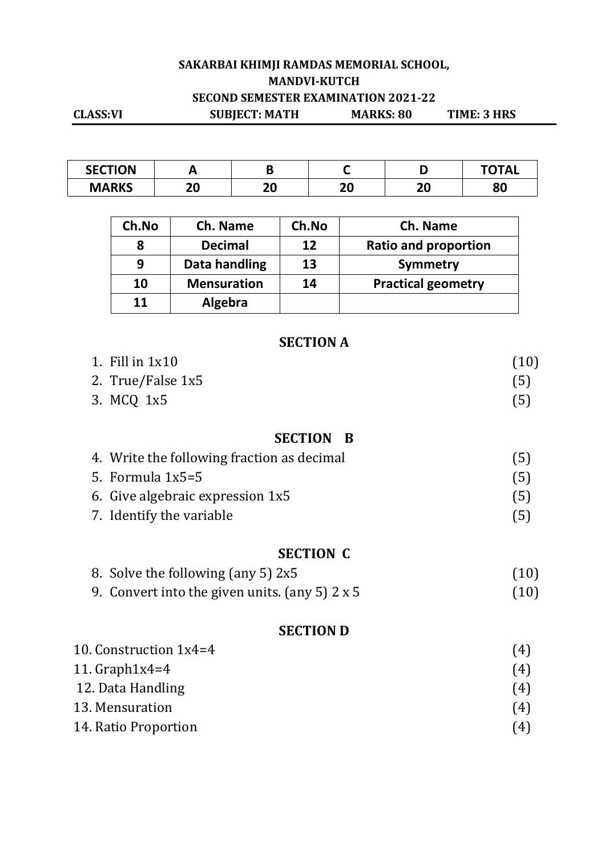### **SAKARBAI KHIMJI RAMDAS MEMORIAL SCHOOL, MANDVI-KUTCH SECOND SEMESTER EXAMINATION 2021-22 CLASS:VI SUBJECT: MATH MARKS: 80 TIME: 3 HRS**

| <b>SECTION</b> |    |    |    |    | <b>ነTAL</b> |
|----------------|----|----|----|----|-------------|
| <b>MARKS</b>   | าก | าก | חר | ำก | n n         |
|                | ΔU | ΔU | ΔU | ∠∪ | οu          |

| Ch.No | Ch. Name           | Ch.No | Ch. Name                    |
|-------|--------------------|-------|-----------------------------|
|       | <b>Decimal</b>     | 12    | <b>Ratio and proportion</b> |
| 9     | Data handling      | 13    | Symmetry                    |
| 10    | <b>Mensuration</b> | 14    | <b>Practical geometry</b>   |
| 11    | Algebra            |       |                             |

### **SECTION A**

| 1. Fill in $1x10$                          | (10) |
|--------------------------------------------|------|
| 2. True/False 1x5                          | (5)  |
| 3. MCQ 1x5                                 | (5)  |
| <b>SECTION B</b>                           |      |
|                                            |      |
| 4. Write the following fraction as decimal | (5)  |
| 5. Formula $1x5=5$                         | (5)  |
| 6. Give algebraic expression 1x5           | (5)  |
| 7. Identify the variable                   | (5)  |
| <b>SECTION C</b>                           |      |
| 8. Solve the following (any 5) 2x5         |      |

9. Convert into the given units. (any 5)  $2 \times 5$  (10)

## **SECTION D**

| 10. Construction $1x4=4$ | (4) |
|--------------------------|-----|
| 11. $Graph1x4=4$         | (4) |
| 12. Data Handling        | (4) |
| 13. Mensuration          | (4) |
| 14. Ratio Proportion     | (4) |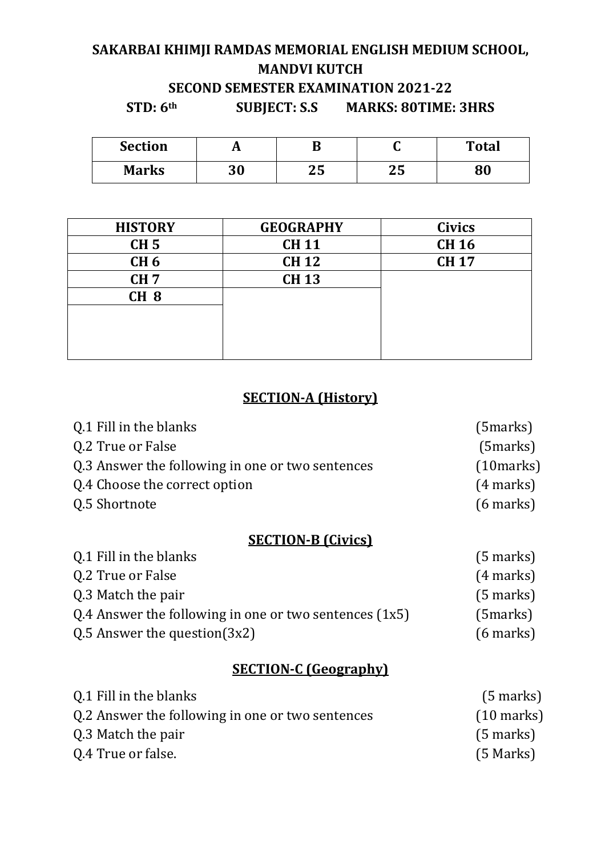## **SAKARBAI KHIMJI RAMDAS MEMORIAL ENGLISH MEDIUM SCHOOL, MANDVI KUTCH SECOND SEMESTER EXAMINATION 2021-22**

**STD: 6th SUBJECT: S.S MARKS: 80TIME: 3HRS** 

| <b>Section</b> |           | ш         | ◡   | <b>Total</b> |
|----------------|-----------|-----------|-----|--------------|
| <b>Marks</b>   | ጋ በ<br>งบ | ח ר<br>4J | ن ڪ | oΛ           |

| <b>HISTORY</b>  | <b>GEOGRAPHY</b> | <b>Civics</b> |
|-----------------|------------------|---------------|
| CH <sub>5</sub> | <b>CH11</b>      | <b>CH 16</b>  |
| CH <sub>6</sub> | <b>CH 12</b>     | <b>CH 17</b>  |
| CH <sub>7</sub> | <b>CH 13</b>     |               |
| CH <sub>8</sub> |                  |               |
|                 |                  |               |
|                 |                  |               |
|                 |                  |               |

### **SECTION-A (History)**

| Q.1 Fill in the blanks                           | (5 marks)   |
|--------------------------------------------------|-------------|
| Q.2 True or False                                | $(5$ marks) |
| Q.3 Answer the following in one or two sentences | (10 marks)  |
| Q.4 Choose the correct option                    | $(4$ marks) |
| Q.5 Shortnote                                    | $(6$ marks) |

## **SECTION-B (Civics)**

| Q.1 Fill in the blanks                                   | $(5$ marks) |
|----------------------------------------------------------|-------------|
| Q.2 True or False                                        | $(4$ marks) |
| Q.3 Match the pair                                       | $(5$ marks) |
| Q.4 Answer the following in one or two sentences $(1x5)$ | $(5$ marks) |
| $Q.5$ Answer the question $(3x2)$                        | $(6$ marks) |

## **SECTION-C (Geography)**

| 0.1 Fill in the blanks                           | $(5$ marks)          |
|--------------------------------------------------|----------------------|
| Q.2 Answer the following in one or two sentences | $(10 \text{ marks})$ |
| Q.3 Match the pair                               | $(5$ marks)          |
| 0.4 True or false.                               | $(5$ Marks)          |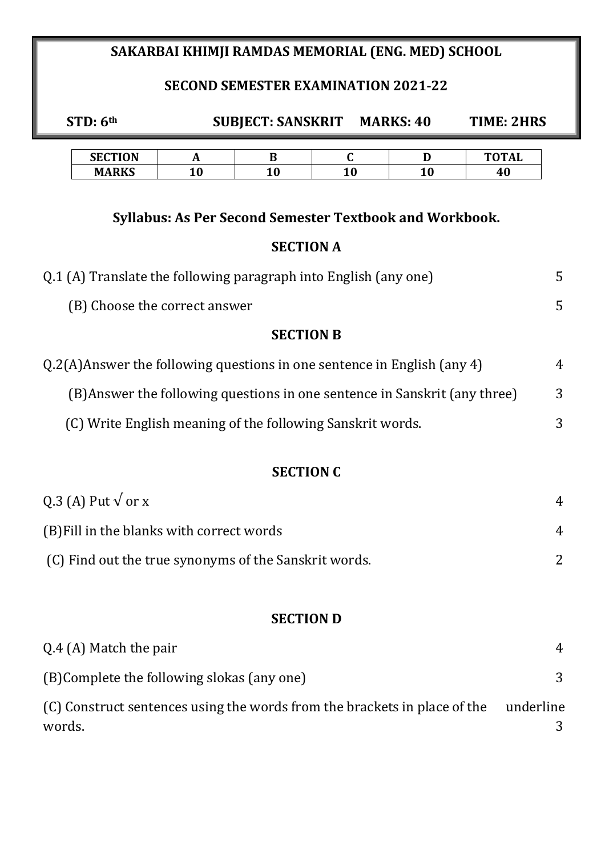## **SAKARBAI KHIMJI RAMDAS MEMORIAL (ENG. MED) SCHOOL**

## **SECOND SEMESTER EXAMINATION 2021-22**

| STD: 6th                                                                   |         |                  | <b>SUBJECT: SANSKRIT MARKS: 40</b>                             |         | <b>TIME: 2HRS</b>  |                |
|----------------------------------------------------------------------------|---------|------------------|----------------------------------------------------------------|---------|--------------------|----------------|
| <b>SECTION</b><br><b>MARKS</b>                                             | A<br>10 | B<br>10          | $\mathbf C$<br>10                                              | D<br>10 | <b>TOTAL</b><br>40 |                |
|                                                                            |         |                  | <b>Syllabus: As Per Second Semester Textbook and Workbook.</b> |         |                    |                |
|                                                                            |         | <b>SECTION A</b> |                                                                |         |                    |                |
| Q.1 (A) Translate the following paragraph into English (any one)           |         |                  |                                                                |         |                    | 5              |
| (B) Choose the correct answer                                              |         |                  |                                                                |         |                    | 5              |
|                                                                            |         | <b>SECTION B</b> |                                                                |         |                    |                |
| Q.2(A)Answer the following questions in one sentence in English (any 4)    |         |                  |                                                                |         |                    | 4              |
| (B) Answer the following questions in one sentence in Sanskrit (any three) |         |                  |                                                                |         |                    | 3              |
| (C) Write English meaning of the following Sanskrit words.                 |         |                  | 3                                                              |         |                    |                |
|                                                                            |         | <b>SECTION C</b> |                                                                |         |                    |                |
| Q.3 (A) Put $\sqrt{$ or x                                                  |         |                  |                                                                |         |                    | $\overline{4}$ |
| (B) Fill in the blanks with correct words                                  |         |                  |                                                                |         |                    | $\overline{4}$ |
| (C) Find out the true synonyms of the Sanskrit words.                      |         |                  | $\overline{2}$                                                 |         |                    |                |

### **SECTION D**

| Q.4 (A) Match the pair                                                              |           |
|-------------------------------------------------------------------------------------|-----------|
| (B)Complete the following slokas (any one)                                          |           |
| (C) Construct sentences using the words from the brackets in place of the<br>words. | underline |